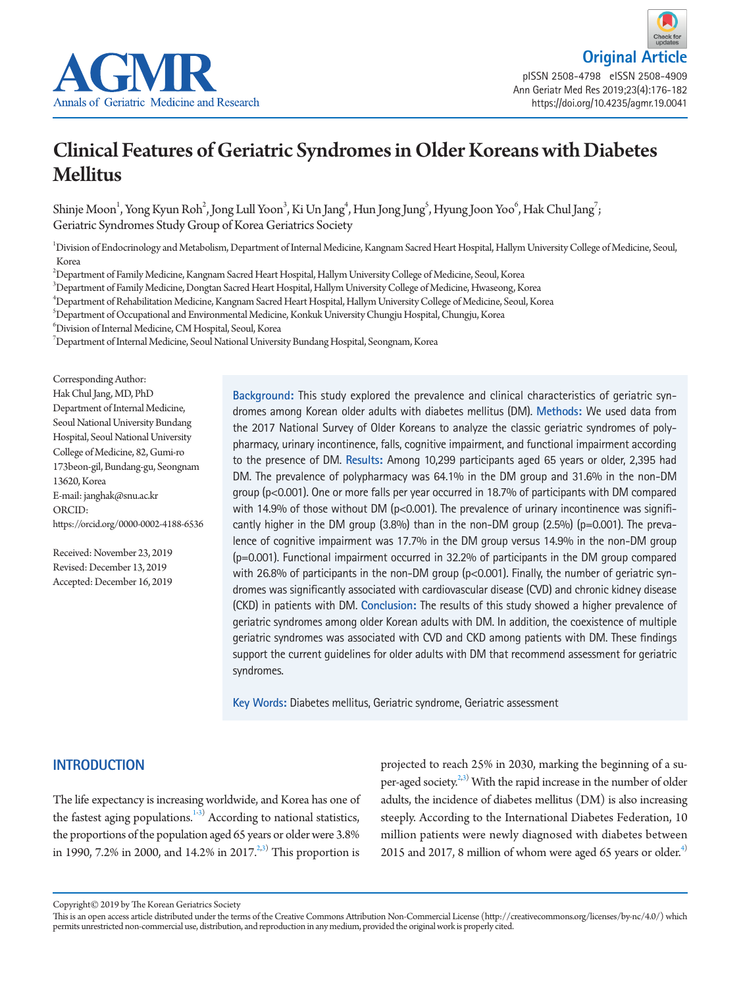



# Clinical Features of Geriatric Syndromes in Older Koreans with Diabetes Mellitus

Shinje Moon<sup>1</sup>, Yong Kyun Roh<sup>2</sup>, Jong Lull Yoon<sup>3</sup>, Ki Un Jang<sup>4</sup>, Hun Jong Jung<sup>5</sup>, Hyung Joon Yoo<sup>6</sup>, Hak Chul Jang<sup>7</sup>; Geriatric Syndromes Study Group of Korea Geriatrics Society

1 Division of Endocrinology and Metabolism, Department of Internal Medicine, Kangnam Sacred Heart Hospital, Hallym University College of Medicine, Seoul, Korea

2 Department of Family Medicine, Kangnam Sacred Heart Hospital, Hallym University College of Medicine, Seoul, Korea

3 Department of Family Medicine, Dongtan Sacred Heart Hospital, Hallym University College of Medicine, Hwaseong, Korea

4 Department of Rehabilitation Medicine, Kangnam Sacred Heart Hospital, Hallym University College of Medicine, Seoul, Korea

 $^5$ Department of Occupational and Environmental Medicine, Konkuk University Chungju Hospital, Chungju, Korea

6 Division of Internal Medicine, CM Hospital, Seoul, Korea

 $^7$ Department of Internal Medicine, Seoul National University Bundang Hospital, Seongnam, Korea

Corresponding Author: Hak Chul Jang, MD, PhD Department of Internal Medicine, Seoul National University Bundang Hospital, Seoul National University College of Medicine, 82, Gumi-ro 173beon-gil, Bundang-gu, Seongnam 13620, Korea E-mail: janghak@snu.ac.kr ORCID: https://orcid.org/0000-0002-4188-6536

Received: November 23, 2019 Revised: December 13, 2019 Accepted: December 16, 2019 **Background:** This study explored the prevalence and clinical characteristics of geriatric syndromes among Korean older adults with diabetes mellitus (DM). **Methods:** We used data from the 2017 National Survey of Older Koreans to analyze the classic geriatric syndromes of polypharmacy, urinary incontinence, falls, cognitive impairment, and functional impairment according to the presence of DM. **Results:** Among 10,299 participants aged 65 years or older, 2,395 had DM. The prevalence of polypharmacy was 64.1% in the DM group and 31.6% in the non-DM group (p<0.001). One or more falls per year occurred in 18.7% of participants with DM compared with 14.9% of those without DM ( $p$ <0.001). The prevalence of urinary incontinence was significantly higher in the DM group (3.8%) than in the non-DM group (2.5%) (p=0.001). The prevalence of cognitive impairment was 17.7% in the DM group versus 14.9% in the non-DM group (p=0.001). Functional impairment occurred in 32.2% of participants in the DM group compared with 26.8% of participants in the non-DM group (p<0.001). Finally, the number of geriatric syndromes was significantly associated with cardiovascular disease (CVD) and chronic kidney disease (CKD) in patients with DM. **Conclusion:** The results of this study showed a higher prevalence of geriatric syndromes among older Korean adults with DM. In addition, the coexistence of multiple geriatric syndromes was associated with CVD and CKD among patients with DM. These findings support the current guidelines for older adults with DM that recommend assessment for geriatric syndromes.

**Key Words:** Diabetes mellitus, Geriatric syndrome, Geriatric assessment

## **INTRODUCTION**

The life expectancy is increasing worldwide, and Korea has one of the fastest aging populations.<sup>1-[3](#page-5-1))</sup> According to national statistics, the proportions of the population aged 65 years or older were 3.8% in 1990, 7.2% in 2000, and 14.2% in 2017.<sup>2,[3](#page-5-1))</sup> This proportion is

projected to reach 25% in 2030, marking the beginning of a su-per-aged society.<sup>2,[3\)](#page-5-1)</sup> With the rapid increase in the number of older adults, the incidence of diabetes mellitus (DM) is also increasing steeply. According to the International Diabetes Federation, 10 million patients were newly diagnosed with diabetes between 2015 and 2017, 8 million of whom were aged 65 years or older.<sup>4)</sup>

Copyright© 2019 by The Korean Geriatrics Society

This is an open access article distributed under the terms of the Creative Commons Attribution Non-Commercial License (http://creativecommons.org/licenses/by-nc/4.0/) which permits unrestricted non-commercial use, distribution, and reproduction in any medium, provided the original work is properly cited.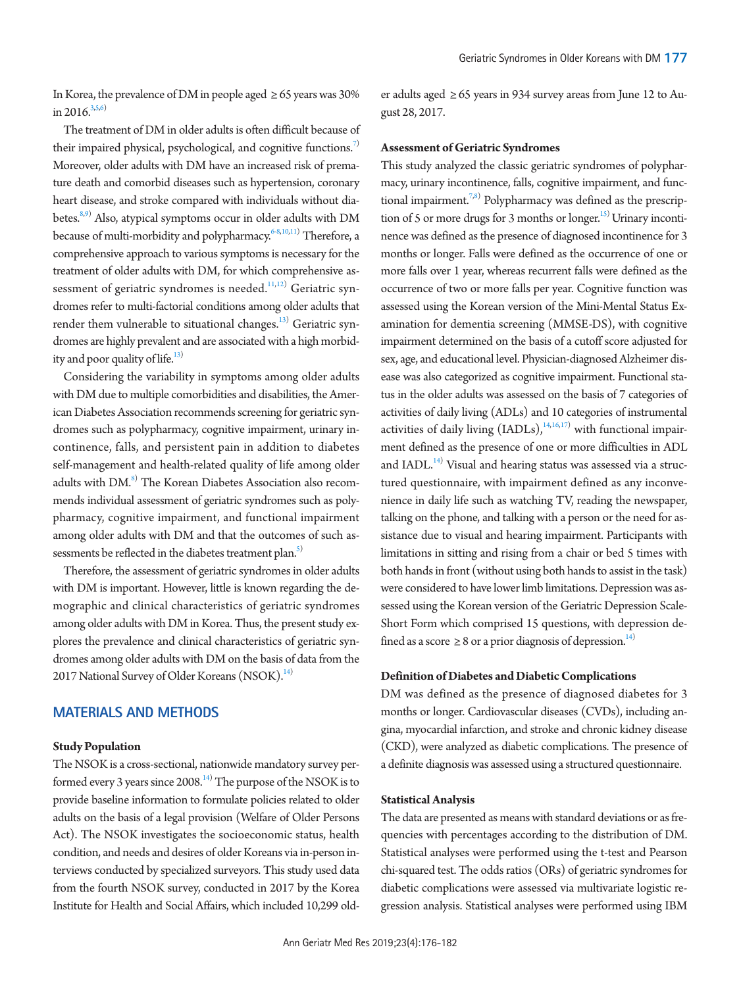In Korea, the prevalence of DM in people aged  $\geq 65$  years was 30% in 201[6](#page-5-4). $3,5,6$  $3,5,6$  $3,5,6$ 

The treatment of DM in older adults is often difficult because of their impaired physical, psychological, and cognitive functions.<sup>[7\)](#page-5-1)</sup> Moreover, older adults with DM have an increased risk of premature death and comorbid diseases such as hypertension, coronary heart disease, and stroke compared with individuals without dia-betes.<sup>8[,9](#page-5-5))</sup> Also, atypical symptoms occur in older adults with DM because of multi-morbidity and polypharmacy.<sup>[6](#page-5-4)[-8](#page-5-2)[,10](#page-5-6)[,11\)](#page-5-7)</sup> Therefore, a comprehensive approach to various symptoms is necessary for the treatment of older adults with DM, for which comprehensive as-sessment of geriatric syndromes is needed.<sup>[11](#page-5-7)[,12](#page-5-8))</sup> Geriatric syndromes refer to multi-factorial conditions among older adults that render them vulnerable to situational changes.<sup>[13\)](#page-5-5)</sup> Geriatric syndromes are highly prevalent and are associated with a high morbidity and poor quality of life. $^{13)}$  $^{13)}$  $^{13)}$ 

Considering the variability in symptoms among older adults with DM due to multiple comorbidities and disabilities, the American Diabetes Association recommends screening for geriatric syndromes such as polypharmacy, cognitive impairment, urinary incontinence, falls, and persistent pain in addition to diabetes self-management and health-related quality of life among older adults with DM.<sup>8)</sup> The Korean Diabetes Association also recommends individual assessment of geriatric syndromes such as polypharmacy, cognitive impairment, and functional impairment among older adults with DM and that the outcomes of such assessments be reflected in the diabetes treatment plan.<sup>5)</sup>

Therefore, the assessment of geriatric syndromes in older adults with DM is important. However, little is known regarding the demographic and clinical characteristics of geriatric syndromes among older adults with DM in Korea. Thus, the present study explores the prevalence and clinical characteristics of geriatric syndromes among older adults with DM on the basis of data from the 2017 National Survey of Older Koreans (NSOK).<sup>[14](#page-5-9))</sup>

## **MATERIALS AND METHODS**

#### **Study Population**

The NSOK is a cross-sectional, nationwide mandatory survey performed every 3 years since 2008. $^{14)}$  $^{14)}$  $^{14)}$  The purpose of the NSOK is to provide baseline information to formulate policies related to older adults on the basis of a legal provision (Welfare of Older Persons Act). The NSOK investigates the socioeconomic status, health condition, and needs and desires of older Koreans via in-person interviews conducted by specialized surveyors. This study used data from the fourth NSOK survey, conducted in 2017 by the Korea Institute for Health and Social Affairs, which included 10,299 old-

er adults aged  $\geq 65$  years in 934 survey areas from June 12 to August 28, 2017.

#### **Assessment of Geriatric Syndromes**

This study analyzed the classic geriatric syndromes of polypharmacy, urinary incontinence, falls, cognitive impairment, and func-tional impairment.<sup>7[,8](#page-5-2))</sup> Polypharmacy was defined as the prescription of 5 or more drugs for 3 months or longer.<sup>15)</sup> Urinary incontinence was defined as the presence of diagnosed incontinence for 3 months or longer. Falls were defined as the occurrence of one or more falls over 1 year, whereas recurrent falls were defined as the occurrence of two or more falls per year. Cognitive function was assessed using the Korean version of the Mini-Mental Status Examination for dementia screening (MMSE-DS), with cognitive impairment determined on the basis of a cutoff score adjusted for sex, age, and educational level. Physician-diagnosed Alzheimer disease was also categorized as cognitive impairment. Functional status in the older adults was assessed on the basis of 7 categories of activities of daily living (ADLs) and 10 categories of instrumental activities of daily living  $(LADLs)$ ,  $\frac{14,16,17}{14}$  $\frac{14,16,17}{14}$  $\frac{14,16,17}{14}$  $\frac{14,16,17}{14}$  with functional impairment defined as the presence of one or more difficulties in ADL and IADL.<sup>14)</sup> Visual and hearing status was assessed via a structured questionnaire, with impairment defined as any inconvenience in daily life such as watching TV, reading the newspaper, talking on the phone, and talking with a person or the need for assistance due to visual and hearing impairment. Participants with limitations in sitting and rising from a chair or bed 5 times with both hands in front (without using both hands to assist in the task) were considered to have lower limb limitations. Depression was assessed using the Korean version of the Geriatric Depression Scale-Short Form which comprised 15 questions, with depression defined as a score  $\geq 8$  or a prior diagnosis of depression.<sup>14)</sup>

#### **Definition of Diabetes and Diabetic Complications**

DM was defined as the presence of diagnosed diabetes for 3 months or longer. Cardiovascular diseases (CVDs), including angina, myocardial infarction, and stroke and chronic kidney disease (CKD), were analyzed as diabetic complications. The presence of a definite diagnosis was assessed using a structured questionnaire.

## **Statistical Analysis**

The data are presented as means with standard deviations or as frequencies with percentages according to the distribution of DM. Statistical analyses were performed using the t-test and Pearson chi-squared test. The odds ratios (ORs) of geriatric syndromes for diabetic complications were assessed via multivariate logistic regression analysis. Statistical analyses were performed using IBM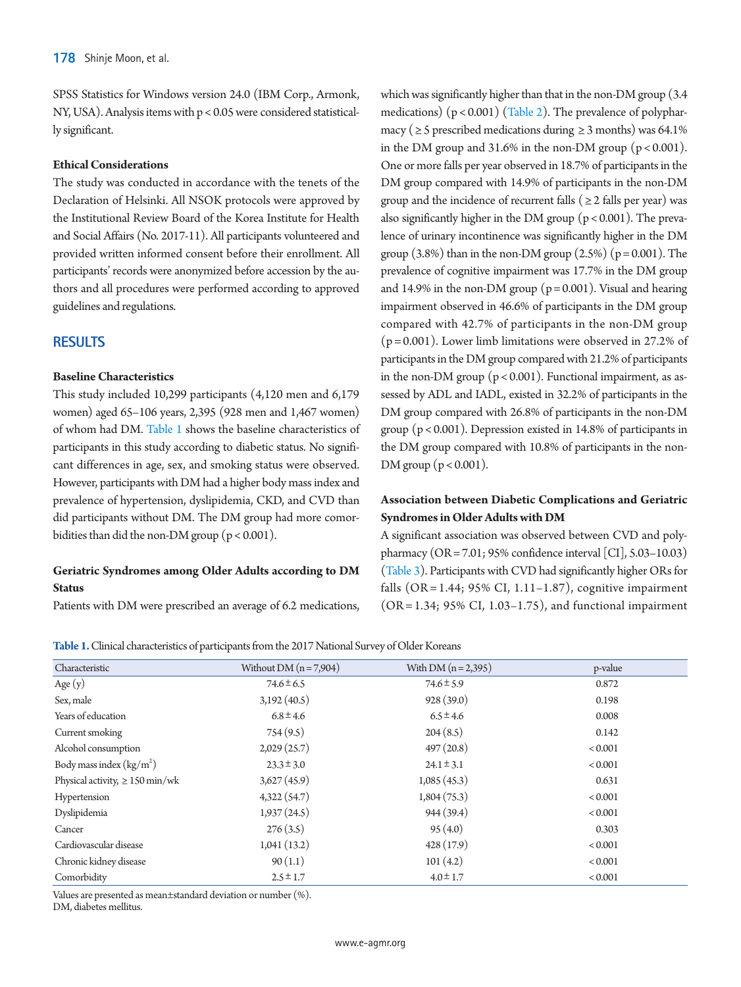SPSS Statistics for Windows version 24.0 (IBM Corp., Armonk, NY, USA). Analysis items with p < 0.05 were considered statistically significant.

## **Ethical Considerations**

The study was conducted in accordance with the tenets of the Declaration of Helsinki. All NSOK protocols were approved by the Institutional Review Board of the Korea Institute for Health and Social Affairs (No. 2017-11). All participants volunteered and provided written informed consent before their enrollment. All participants' records were anonymized before accession by the authors and all procedures were performed according to approved guidelines and regulations.

## **RESULTS**

## **Baseline Characteristics**

This study included 10,299 participants (4,120 men and 6,179 women) aged 65–106 years, 2,395 (928 men and 1,467 women) of whom had DM. [Table 1](#page-2-0) shows the baseline characteristics of participants in this study according to diabetic status. No significant differences in age, sex, and smoking status were observed. However, participants with DM had a higher body mass index and prevalence of hypertension, dyslipidemia, CKD, and CVD than did participants without DM. The DM group had more comorbidities than did the non-DM group ( $p < 0.001$ ).

## **Geriatric Syndromes among Older Adults according to DM Status**

Patients with DM were prescribed an average of 6.2 medications,

which was significantly higher than that in the non-DM group (3.4 medications)  $(p < 0.001)$  [\(Table 2](#page-3-0)). The prevalence of polypharmacy ( $\geq$  5 prescribed medications during  $\geq$  3 months) was 64.1% in the DM group and 31.6% in the non-DM group  $(p < 0.001)$ . One or more falls per year observed in 18.7% of participants in the DM group compared with 14.9% of participants in the non-DM group and the incidence of recurrent falls ( $\geq$  2 falls per year) was also significantly higher in the DM group ( $p < 0.001$ ). The prevalence of urinary incontinence was significantly higher in the DM group  $(3.8\%)$  than in the non-DM group  $(2.5\%)$  ( $p = 0.001$ ). The prevalence of cognitive impairment was 17.7% in the DM group and 14.9% in the non-DM group ( $p = 0.001$ ). Visual and hearing impairment observed in 46.6% of participants in the DM group compared with 42.7% of participants in the non-DM group  $(p = 0.001)$ . Lower limb limitations were observed in 27.2% of participants in the DM group compared with 21.2% of participants in the non-DM group (p < 0.001). Functional impairment, as assessed by ADL and IADL, existed in 32.2% of participants in the DM group compared with 26.8% of participants in the non-DM group ( $p < 0.001$ ). Depression existed in 14.8% of participants in the DM group compared with 10.8% of participants in the non-DM group ( $p < 0.001$ ).

# **Association between Diabetic Complications and Geriatric Syndromes in Older Adults with DM**

A significant association was observed between CVD and polypharmacy (OR = 7.01; 95% confidence interval [CI], 5.03–10.03) [\(Table 3\)](#page-3-1). Participants with CVD had significantly higher ORs for falls (OR = 1.44; 95% CI,  $1.11-1.87$ ), cognitive impairment (OR = 1.34; 95% CI, 1.03–1.75), and functional impairment

<span id="page-2-0"></span>**Table 1.** Clinical characteristics of participants from the 2017 National Survey of Older Koreans

| Characteristic                          | Without DM $(n = 7,904)$ | With DM $(n = 2,395)$ | p-value        |
|-----------------------------------------|--------------------------|-----------------------|----------------|
| Age $(y)$                               | $74.6 \pm 6.5$           | $74.6 \pm 5.9$        | 0.872          |
| Sex, male                               | 3,192(40.5)              | 928(39.0)             | 0.198          |
| Years of education                      | $6.8 \pm 4.6$            | $6.5 \pm 4.6$         | 0.008          |
| Current smoking                         | 754(9.5)                 | 204(8.5)              | 0.142          |
| Alcohol consumption                     | 2,029(25.7)              | 497(20.8)             | < 0.001        |
| Body mass index $\frac{\text{kg}}{m^2}$ | $23.3 \pm 3.0$           | $24.1 \pm 3.1$        | ${}_{< 0.001}$ |
| Physical activity, $\geq 150$ min/wk    | 3,627(45.9)              | 1,085(45.3)           | 0.631          |
| Hypertension                            | 4,322(54.7)              | 1,804(75.3)           | ${}_{< 0.001}$ |
| Dyslipidemia                            | 1,937(24.5)              | 944 (39.4)            | < 0.001        |
| Cancer                                  | 276(3.5)                 | 95(4.0)               | 0.303          |
| Cardiovascular disease                  | 1,041(13.2)              | 428(17.9)             | < 0.001        |
| Chronic kidney disease                  | 90(1.1)                  | 101(4.2)              | < 0.001        |
| Comorbidity                             | $2.5 \pm 1.7$            | $4.0 \pm 1.7$         | < 0.001        |

Values are presented as mean±standard deviation or number (%).

DM, diabetes mellitus.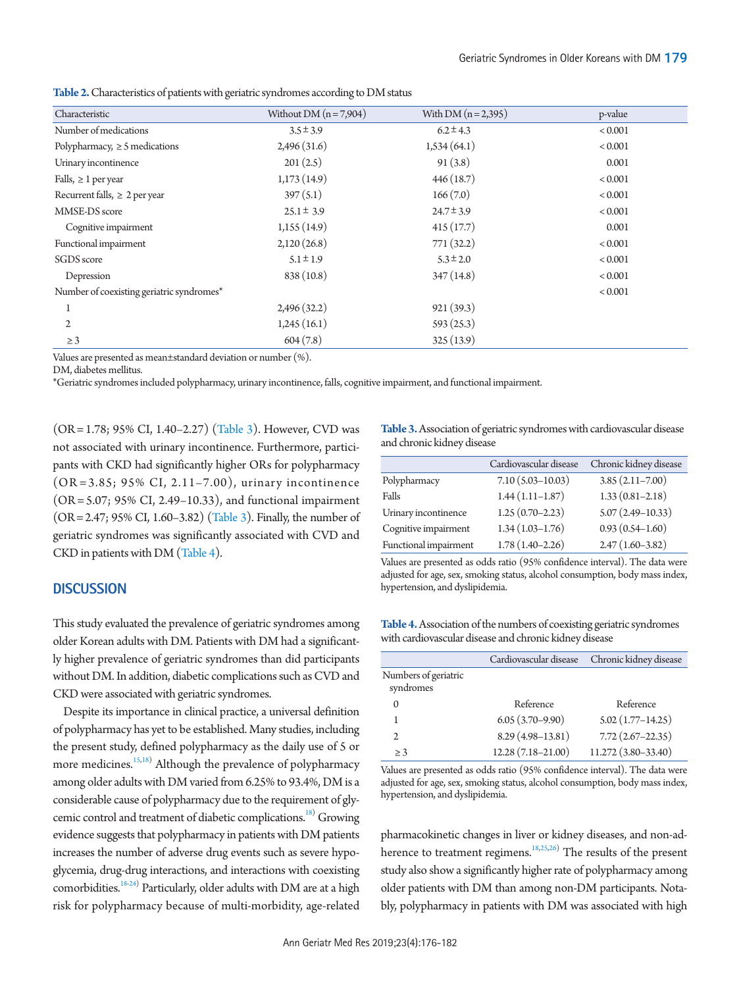<span id="page-3-0"></span>

|  |  |  | <b>Table 2.</b> Characteristics of patients with geriatric syndromes according to DM status |  |  |  |  |  |  |  |  |
|--|--|--|---------------------------------------------------------------------------------------------|--|--|--|--|--|--|--|--|
|--|--|--|---------------------------------------------------------------------------------------------|--|--|--|--|--|--|--|--|

| Characteristic                            | Without DM $(n=7,904)$ | With $DM(n=2,395)$ | p-value        |
|-------------------------------------------|------------------------|--------------------|----------------|
| Number of medications                     | $3.5 \pm 3.9$          | $6.2 \pm 4.3$      | ${}_{< 0.001}$ |
| Polypharmacy, $\geq$ 5 medications        | 2,496(31.6)            | 1,534(64.1)        | ${}_{< 0.001}$ |
| Urinary incontinence                      | 201(2.5)               | 91(3.8)            | 0.001          |
| Falls, $\geq 1$ per year                  | 1,173(14.9)            | 446(18.7)          | ${}_{< 0.001}$ |
| Recurrent falls, $\geq 2$ per year        | 397(5.1)               | 166(7.0)           | ${}_{< 0.001}$ |
| MMSE-DS score                             | $25.1 \pm 3.9$         | $24.7 \pm 3.9$     | ${}_{< 0.001}$ |
| Cognitive impairment                      | 1,155(14.9)            | 415(17.7)          | 0.001          |
| Functional impairment                     | 2,120(26.8)            | 771(32.2)          | ${}_{< 0.001}$ |
| SGDS score                                | $5.1 \pm 1.9$          | $5.3 \pm 2.0$      | ${}_{< 0.001}$ |
| Depression                                | 838 (10.8)             | 347(14.8)          | ${}_{< 0.001}$ |
| Number of coexisting geriatric syndromes* |                        |                    | < 0.001        |
|                                           | 2,496(32.2)            | 921(39.3)          |                |
| $\mathbf{2}$                              | 1,245(16.1)            | 593(25.3)          |                |
| $\geq$ 3                                  | 604(7.8)               | 325(13.9)          |                |
| 171 (a/                                   |                        |                    |                |

Values are presented as mean±standard deviation or number (%).

DM, diabetes mellitus.

\*Geriatric syndromes included polypharmacy, urinary incontinence, falls, cognitive impairment, and functional impairment.

(OR = 1.78; 95% CI, 1.40–2.27) [\(Table 3](#page-3-1)). However, CVD was not associated with urinary incontinence. Furthermore, participants with CKD had significantly higher ORs for polypharmacy  $(OR = 3.85; 95\% CI, 2.11 - 7.00)$ , urinary incontinence (OR = 5.07; 95% CI, 2.49–10.33), and functional impairment (OR = 2.47; 95% CI, 1.60–3.82) [\(Table 3](#page-3-1)). Finally, the number of geriatric syndromes was significantly associated with CVD and CKD in patients with DM [\(Table 4\)](#page-3-2).

## **DISCUSSION**

This study evaluated the prevalence of geriatric syndromes among older Korean adults with DM. Patients with DM had a significantly higher prevalence of geriatric syndromes than did participants without DM. In addition, diabetic complications such as CVD and CKD were associated with geriatric syndromes.

Despite its importance in clinical practice, a universal definition of polypharmacy has yet to be established. Many studies, including the present study, defined polypharmacy as the daily use of 5 or more medicines.<sup>15[,18\)](#page-5-12)</sup> Although the prevalence of polypharmacy among older adults with DM varied from 6.25% to 93.4%, DM is a considerable cause of polypharmacy due to the requirement of glycemic control and treatment of diabetic complications.<sup>18)</sup> Growing evidence suggests that polypharmacy in patients with DM patients increases the number of adverse drug events such as severe hypoglycemia, drug-drug interactions, and interactions with coexisting comorbidities.<sup>[18](#page-5-12)[-24](#page-5-13))</sup> Particularly, older adults with DM are at a high risk for polypharmacy because of multi-morbidity, age-related

<span id="page-3-1"></span>**Table 3.** Association of geriatric syndromes with cardiovascular disease and chronic kidney disease

|                       | Cardiovascular disease | Chronic kidney disease |
|-----------------------|------------------------|------------------------|
| Polypharmacy          | $7.10(5.03 - 10.03)$   | $3.85(2.11 - 7.00)$    |
| Falls                 | $1.44(1.11-1.87)$      | $1.33(0.81 - 2.18)$    |
| Urinary incontinence  | $1.25(0.70-2.23)$      | $5.07(2.49 - 10.33)$   |
| Cognitive impairment  | $1.34(1.03-1.76)$      | $0.93(0.54 - 1.60)$    |
| Functional impairment | $1.78(1.40 - 2.26)$    | $2.47(1.60-3.82)$      |

Values are presented as odds ratio (95% confidence interval). The data were adjusted for age, sex, smoking status, alcohol consumption, body mass index, hypertension, and dyslipidemia.

<span id="page-3-2"></span>

| <b>Table 4.</b> Association of the numbers of coexisting geriatric syndromes |  |  |
|------------------------------------------------------------------------------|--|--|
| with cardiovascular disease and chronic kidney disease                       |  |  |

|                                   | Cardiovascular disease | Chronic kidney disease |
|-----------------------------------|------------------------|------------------------|
| Numbers of geriatric<br>syndromes |                        |                        |
| $\Omega$                          | Reference              | Reference              |
|                                   | $6.05(3.70-9.90)$      | $5.02(1.77 - 14.25)$   |
| $\mathfrak{D}$                    | $8.29(4.98-13.81)$     | $7.72(2.67-22.35)$     |
| $>$ 3                             | $12.28(7.18 - 21.00)$  | 11.272 (3.80-33.40)    |

Values are presented as odds ratio (95% confidence interval). The data were adjusted for age, sex, smoking status, alcohol consumption, body mass index, hypertension, and dyslipidemia.

pharmacokinetic changes in liver or kidney diseases, and non-ad-herence to treatment regimens.<sup>[18](#page-5-12)[,25](#page-5-14),[26](#page-5-15)</sup>) The results of the present study also show a significantly higher rate of polypharmacy among older patients with DM than among non-DM participants. Notably, polypharmacy in patients with DM was associated with high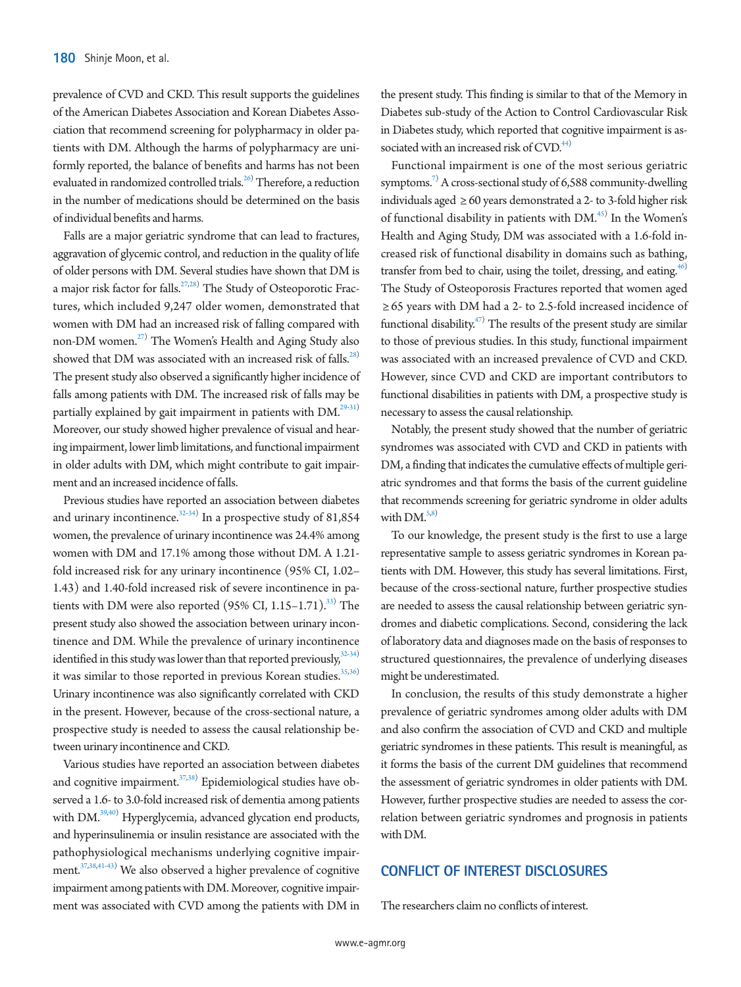prevalence of CVD and CKD. This result supports the guidelines of the American Diabetes Association and Korean Diabetes Association that recommend screening for polypharmacy in older patients with DM. Although the harms of polypharmacy are uniformly reported, the balance of benefits and harms has not been evaluated in randomized controlled trials.<sup>26)</sup> Therefore, a reduction in the number of medications should be determined on the basis of individual benefits and harms.

Falls are a major geriatric syndrome that can lead to fractures, aggravation of glycemic control, and reduction in the quality of life of older persons with DM. Several studies have shown that DM is a major risk factor for falls.<sup>27[,28\)](#page-5-13)</sup> The Study of Osteoporotic Fractures, which included 9,247 older women, demonstrated that women with DM had an increased risk of falling compared with non-DM women.<sup>27)</sup> The Women's Health and Aging Study also showed that DM was associated with an increased risk of falls.<sup>28)</sup> The present study also observed a significantly higher incidence of falls among patients with DM. The increased risk of falls may be partially explained by gait impairment in patients with  $DM^{29-31)}$  $DM^{29-31)}$  $DM^{29-31)}$ . Moreover, our study showed higher prevalence of visual and hearing impairment, lower limb limitations, and functional impairment in older adults with DM, which might contribute to gait impairment and an increased incidence of falls.

Previous studies have reported an association between diabetes and urinary incontinence. $3^{2.34)}$  In a prospective study of 81,854 women, the prevalence of urinary incontinence was 24.4% among women with DM and 17.1% among those without DM. A 1.21 fold increased risk for any urinary incontinence (95% CI, 1.02– 1.43) and 1.40-fold increased risk of severe incontinence in patients with DM were also reported  $(95\%$  CI,  $1.15-1.71$ .<sup>33)</sup> The present study also showed the association between urinary incontinence and DM. While the prevalence of urinary incontinence identified in this study was lower than that reported previously,  $32-34$  $32-34$ ) it was similar to those reported in previous Korean studies.<sup>[35,](#page-6-2)[36\)](#page-6-3)</sup> Urinary incontinence was also significantly correlated with CKD in the present. However, because of the cross-sectional nature, a prospective study is needed to assess the causal relationship between urinary incontinence and CKD.

Various studies have reported an association between diabetes and cognitive impairment.<sup>37[,38\)](#page-6-2)</sup> Epidemiological studies have observed a 1.6- to 3.0-fold increased risk of dementia among patients with DM.<sup>39[,40](#page-6-6))</sup> Hyperglycemia, advanced glycation end products, and hyperinsulinemia or insulin resistance are associated with the pathophysiological mechanisms underlying cognitive impair-ment.<sup>[37](#page-6-4),[38](#page-6-2),[41](#page-6-7)[-43\)](#page-6-8)</sup> We also observed a higher prevalence of cognitive impairment among patients with DM. Moreover, cognitive impairment was associated with CVD among the patients with DM in

the present study. This finding is similar to that of the Memory in Diabetes sub-study of the Action to Control Cardiovascular Risk in Diabetes study, which reported that cognitive impairment is associated with an increased risk of CVD.<sup>44)</sup>

Functional impairment is one of the most serious geriatric symptoms.<sup>7)</sup> A cross-sectional study of 6,588 community-dwelling individuals aged  $\geq 60$  years demonstrated a 2- to 3-fold higher risk of functional disability in patients with DM.<sup>45)</sup> In the Women's Health and Aging Study, DM was associated with a 1.6-fold increased risk of functional disability in domains such as bathing, transfer from bed to chair, using the toilet, dressing, and eating.<sup>[46](#page-6-11))</sup> The Study of Osteoporosis Fractures reported that women aged ≥ 65 years with DM had a 2- to 2.5-fold increased incidence of functional disability.<sup>47)</sup> The results of the present study are similar to those of previous studies. In this study, functional impairment was associated with an increased prevalence of CVD and CKD. However, since CVD and CKD are important contributors to functional disabilities in patients with DM, a prospective study is necessary to assess the causal relationship.

Notably, the present study showed that the number of geriatric syndromes was associated with CVD and CKD in patients with DM, a finding that indicates the cumulative effects of multiple geriatric syndromes and that forms the basis of the current guideline that recommends screening for geriatric syndrome in older adults with  $DM.<sup>5,8</sup>$  $DM.<sup>5,8</sup>$  $DM.<sup>5,8</sup>$ 

To our knowledge, the present study is the first to use a large representative sample to assess geriatric syndromes in Korean patients with DM. However, this study has several limitations. First, because of the cross-sectional nature, further prospective studies are needed to assess the causal relationship between geriatric syndromes and diabetic complications. Second, considering the lack of laboratory data and diagnoses made on the basis of responses to structured questionnaires, the prevalence of underlying diseases might be underestimated.

In conclusion, the results of this study demonstrate a higher prevalence of geriatric syndromes among older adults with DM and also confirm the association of CVD and CKD and multiple geriatric syndromes in these patients. This result is meaningful, as it forms the basis of the current DM guidelines that recommend the assessment of geriatric syndromes in older patients with DM. However, further prospective studies are needed to assess the correlation between geriatric syndromes and prognosis in patients with DM.

# **CONFLICT OF INTEREST DISCLOSURES**

The researchers claim no conflicts of interest.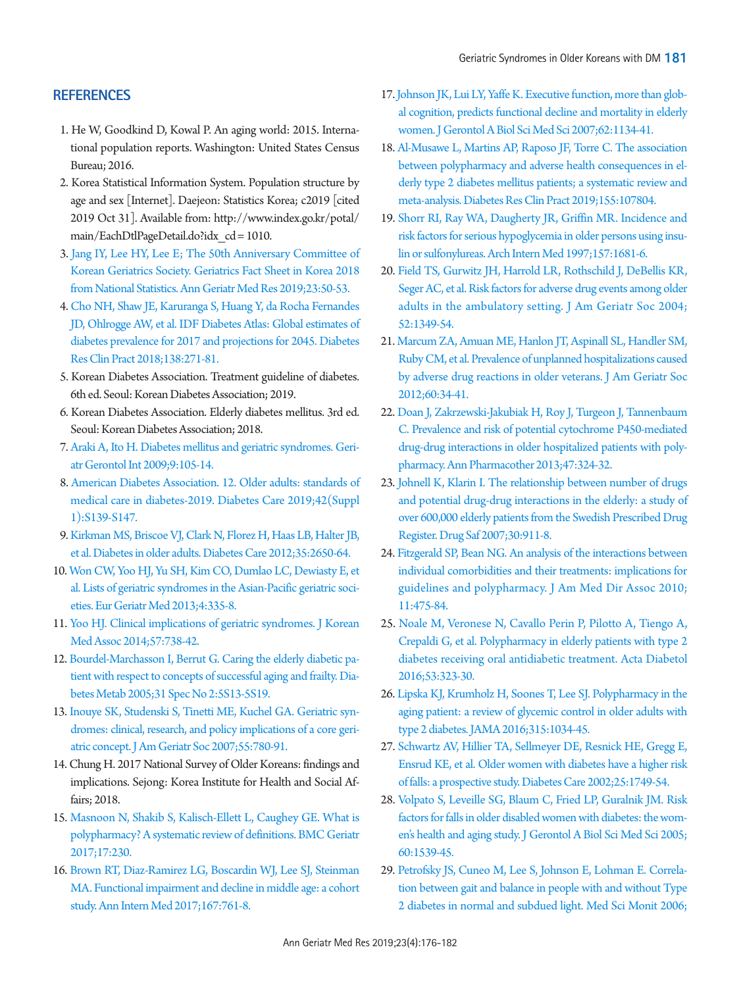# **REFERENCES**

- <span id="page-5-0"></span>1. He W, Goodkind D, Kowal P. An aging world: 2015. International population reports. Washington: United States Census Bureau; 2016.
- <span id="page-5-3"></span>2. Korea Statistical Information System. Population structure by age and sex [Internet]. Daejeon: Statistics Korea; c2019 [cited 2019 Oct 31]. Available from: http:/[/www.index.go.kr/potal/](www.index.go.kr/potal/main/EachDtlPageDetail.do?idx_cd=1010.) [main/EachDtlPageDetail.do?idx\\_cd = 1010.](www.index.go.kr/potal/main/EachDtlPageDetail.do?idx_cd=1010.)
- 3. [Jang IY, Lee HY, Lee E; The 50th Anniversary Committee of](https://doi.org/10.4235/agmr.19.0013)  [Korean Geriatrics Society. Geriatrics Fact Sheet in Korea 2018](https://doi.org/10.4235/agmr.19.0013)  [from National Statistics. Ann Geriatr Med Res 2019;23:50-53.](https://doi.org/10.4235/agmr.19.0013)
- <span id="page-5-1"></span>4. Cho NH, Shaw JE, Karuranga S, Huang [Y, da Rocha Fernandes](https://doi.org/10.1016/j.diabres.2018.02.023)  [JD, Ohlrogge AW, et al. IDF Diabetes Atlas: Global estimates of](https://doi.org/10.1016/j.diabres.2018.02.023)  [diabetes prevalence for 2017 and projections for 2045. Diabetes](https://doi.org/10.1016/j.diabres.2018.02.023)  [Res Clin Pract 2018;138:271-81.](https://doi.org/10.1016/j.diabres.2018.02.023)
- <span id="page-5-2"></span>5. Korean Diabetes Association. Treatment guideline of diabetes. 6th ed. Seoul: Korean Diabetes Association; 2019.
- <span id="page-5-4"></span>6. Korean Diabetes Association. Elderly diabetes mellitus. 3rd ed. Seoul: Korean Diabetes Association; 2018.
- <span id="page-5-7"></span>7. Araki A, Ito H. Diabetes mellitus and geriatric synd[romes. Geri](https://doi.org/10.1111/j.1447-0594.2008.00495.x)[atr Gerontol Int 2009;9:105-14.](https://doi.org/10.1111/j.1447-0594.2008.00495.x)
- 8. [American Diabetes Association. 12. Older adults: standards of](https://doi.org/10.2337/dc19-S012)  [medical care in diabetes-2019. Diabetes Care 2019;42\(Suppl](https://doi.org/10.2337/dc19-S012)  [1\):S139-S147.](https://doi.org/10.2337/dc19-S012)
- <span id="page-5-5"></span>9. Kirkman MS, Briscoe VJ, Clark N, Flor[ez H, Haas LB, Halter JB,](https://doi.org/10.1210/MTP3.9781936704835.ch21)  [et al. Diabetes in older adults. Diabetes Care 2012;35:2650-64.](https://doi.org/10.1210/MTP3.9781936704835.ch21)
- <span id="page-5-6"></span>1[0. Won CW, Yoo HJ, Yu SH, Kim CO, Dumlao LC, Dewiasty E, et](https://doi.org/10.1016/j.eurger.2013.07.005)  [al. Lists of geriatric syndromes in the Asian-Pacific geriatric soci](https://doi.org/10.1016/j.eurger.2013.07.005)[eties. Eur Geriatr Med 2013;4:335-8](https://doi.org/10.1016/j.eurger.2013.07.005).
- 11. [Yoo HJ. Clinical implications of geriatric syndromes. J Korean](https://doi.org/10.5124/jkma.2014.57.9.738)  [Med Assoc 2014;57:738-42.](https://doi.org/10.5124/jkma.2014.57.9.738)
- <span id="page-5-8"></span>12. B[ourdel-Marchasson I, Berrut G. Caring the elderly diabetic pa](https://doi.org/10.1016/S1262-3636(05)73647-8)[tient with respect to concepts of successful aging and frailty. Dia](https://doi.org/10.1016/S1262-3636(05)73647-8)[betes Metab 2005;31 Spec No 2:5S13-5S19](https://doi.org/10.1016/S1262-3636(05)73647-8).
- 13. [Inouye SK, Studenski S, Tinetti ME, Kuchel GA. Geriatric syn](https://doi.org/10.1111/j.1532-5415.2007.01156.x)[dromes: clinical, research, and policy implications of a core geri](https://doi.org/10.1111/j.1532-5415.2007.01156.x)[atric concept. J Am Geriatr Soc 2007;55:780-91.](https://doi.org/10.1111/j.1532-5415.2007.01156.x)
- <span id="page-5-12"></span><span id="page-5-9"></span>14. Chung H. 2017 National Survey of Older Koreans: findings and implications. Sejong: Korea Institute for Health and Social Affairs; 2018.
- 15. Masnoon N, Shakib S, Kalisch-Ellett L, Caughey GE. What is polypharmacy[? A systematic review of definitions. BMC Geriatr](https://doi.org/10.1186/s12877-017-0621-2)  [2017;17:230.](https://doi.org/10.1186/s12877-017-0621-2)
- <span id="page-5-10"></span>1[6. Brown RT, Diaz-Ramirez LG, Boscardin WJ, Lee SJ, Steinman](https://doi.org/10.7326/M17-0496)  [MA. Functional impairment and decline in middle age: a cohort](https://doi.org/10.7326/M17-0496)  [study. Ann Intern Med 2017;167:761-8.](https://doi.org/10.7326/M17-0496)
- <span id="page-5-11"></span>17[. Johnson JK, Lui LY, Yaffe K. Executive function, more than glob](https://doi.org/10.1093/gerona/62.10.1134)[al cognition, predicts functional decline and mortality in elderly](https://doi.org/10.1093/gerona/62.10.1134)  [women. J Gerontol A Biol Sci Med Sci 2007;62:1134-41.](https://doi.org/10.1093/gerona/62.10.1134)
- 18. [Al-Musawe L, Martins AP, Raposo JF, Torre C. The association](https://doi.org/10.1016/j.diabres.2019.107804)  [between polypharmacy and adverse health consequences in el](https://doi.org/10.1016/j.diabres.2019.107804)[derly type 2 diabetes mellitus patients; a systematic review and](https://doi.org/10.1016/j.diabres.2019.107804)  [meta-analysis. Diabetes Res Clin Pract](https://doi.org/10.1016/j.diabres.2019.107804) 2019;155:107804.
- 19. [Shorr RI, Ray WA, Daugherty JR, Griffin MR. Incidence and](https://doi.org/10.1001/archinte.1997.00440360095010)  [risk factors for serious hypoglycemia in older persons using insu](https://doi.org/10.1001/archinte.1997.00440360095010)[lin or sulfonylureas. Arch Intern Med 1997;157:1681-6.](https://doi.org/10.1001/archinte.1997.00440360095010)
- 20. [Field TS, Gurwitz JH, Harrold LR, Rothschild J, DeBellis KR,](https://doi.org/10.1111/j.1532-5415.2004.52367.x)  [Seger AC, et al. Risk factors for adverse drug events among older](https://doi.org/10.1111/j.1532-5415.2004.52367.x)  [adults in the ambulatory setting. J Am Geriatr Soc 2004;](https://doi.org/10.1111/j.1532-5415.2004.52367.x) [52:1349-54.](https://doi.org/10.1111/j.1532-5415.2004.52367.x)
- 21. [Marcum ZA, Amuan ME, Hanlon JT, Aspinall SL, Handler SM,](https://doi.org/10.1111/j.1532-5415.2011.03772.x)  [Ruby CM, et al. Prevalence of unplanned hospitalizations caused](https://doi.org/10.1111/j.1532-5415.2011.03772.x)  [by adverse drug reactions in older veterans. J Am Geriatr Soc](https://doi.org/10.1111/j.1532-5415.2011.03772.x)  [2012;60:34-41.](https://doi.org/10.1111/j.1532-5415.2011.03772.x)
- <span id="page-5-15"></span>22[. Doan J, Zakrzewski-Jakubiak H, Roy J, Turgeon J, Tannenbaum](https://doi.org/10.1345/aph.1R621)  [C. Prevalence and risk of potential cytochrome P450-mediated](https://doi.org/10.1345/aph.1R621)  [drug-drug interactions in older hospitalized patients with poly](https://doi.org/10.1345/aph.1R621)[pharmacy. Ann Pharmacother 2013;47:324-32](https://doi.org/10.1345/aph.1R621).
- <span id="page-5-16"></span>23[. Johnell K, Klarin I. The relationship between number of drugs](https://doi.org/10.2165/00002018-200730100-00009)  [and potential drug-drug interactions in the elderly: a study of](https://doi.org/10.2165/00002018-200730100-00009)  [over 600,000 elderly patients from the Swedish Prescribed Drug](https://doi.org/10.2165/00002018-200730100-00009)  [Register. Drug Saf 2007;30:911-8.](https://doi.org/10.2165/00002018-200730100-00009)
- <span id="page-5-13"></span>24. Fitz[gerald SP, Bean NG. An analysis of the interactions between](https://doi.org/10.1016/j.jamda.2010.05.008)  [individual comorbidities and their treatments: implications for](https://doi.org/10.1016/j.jamda.2010.05.008)  [guidelines and polypharmacy. J Am Med Dir Assoc 2010;](https://doi.org/10.1016/j.jamda.2010.05.008) [11:475-84](https://doi.org/10.1016/j.jamda.2010.05.008).
- <span id="page-5-14"></span>2[5. Noale M, Veronese N, Cavallo Perin P, Pilotto A, Tiengo A,](https://doi.org/10.1007/s00592-015-0790-4)  [Crepaldi G, et al. Polypharmacy in elderly patients with type 2](https://doi.org/10.1007/s00592-015-0790-4)  [diabetes receiving oral antidiabetic treatment. Acta Diabetol](https://doi.org/10.1007/s00592-015-0790-4)  [2016;53:323-30.](https://doi.org/10.1007/s00592-015-0790-4)
- 26. [Lipska KJ, Krumholz H, Soones T, Lee SJ. Polypharmacy in the](https://doi.org/10.1001/jama.2016.0299)  [aging patient: a review of glycemic control in older adults with](https://doi.org/10.1001/jama.2016.0299)  [type 2 diabetes. JAMA 2016;315:1034-45.](https://doi.org/10.1001/jama.2016.0299)
- 27. [Schwartz AV, Hillier TA, Sellmeyer DE, Resnick HE, Gregg E,](https://doi.org/10.2337/diacare.25.10.1749)  [Ensrud KE, et al. Older women with diabetes have a higher risk](https://doi.org/10.2337/diacare.25.10.1749)  [of falls: a prospective study. Diabetes Care 2002;25:1749-54.](https://doi.org/10.2337/diacare.25.10.1749)
- 28. [Volpato S, Leveille SG, Blaum C, Fried LP, Guralnik JM. Risk](https://doi.org/10.1093/gerona/60.12.1539)  [factors for falls in older disabled women with diabetes: the wom](https://doi.org/10.1093/gerona/60.12.1539)[en's health and aging study. J Gerontol A Biol Sci Med Sci 2005;](https://doi.org/10.1093/gerona/60.12.1539) [60:1539-45.](https://doi.org/10.1093/gerona/60.12.1539)
- <span id="page-5-17"></span>29. Pet[rofsky JS, Cuneo M, Lee S, Johnson E, Lohman E. Correla](https://www.ncbi.nlm.nih.gov/pubmed/16810132)[tion between gait and balance in people with and without Type](https://www.ncbi.nlm.nih.gov/pubmed/16810132)  [2 diabetes in normal and subdued light. Med Sci Monit 2006;](https://www.ncbi.nlm.nih.gov/pubmed/16810132)